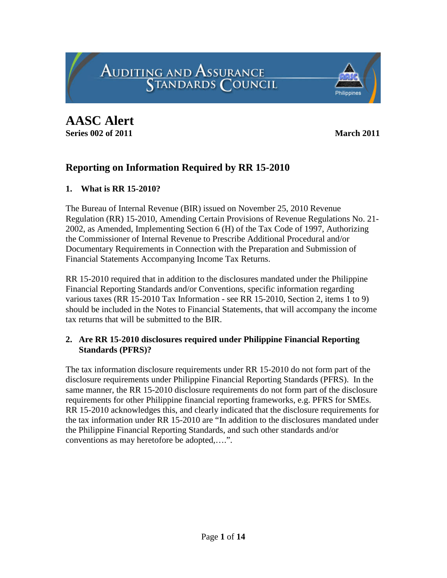**AASC Alert**

**Series 002 of 2011 March 2011** 

# **Reporting on Information Required by RR 15-2010**

**AUDITING AND ASSURANCE STANDARDS COUNCIL** 

# **1. What is RR 15-2010?**

The Bureau of Internal Revenue (BIR) issued on November 25, 2010 Revenue Regulation (RR) 15-2010, Amending Certain Provisions of Revenue Regulations No. 21- 2002, as Amended, Implementing Section 6 (H) of the Tax Code of 1997, Authorizing the Commissioner of Internal Revenue to Prescribe Additional Procedural and/or Documentary Requirements in Connection with the Preparation and Submission of Financial Statements Accompanying Income Tax Returns.

RR 15-2010 required that in addition to the disclosures mandated under the Philippine Financial Reporting Standards and/or Conventions, specific information regarding various taxes (RR 15-2010 Tax Information - see RR 15-2010, Section 2, items 1 to 9) should be included in the Notes to Financial Statements, that will accompany the income tax returns that will be submitted to the BIR.

# **2. Are RR 15-2010 disclosures required under Philippine Financial Reporting Standards (PFRS)?**

The tax information disclosure requirements under RR 15-2010 do not form part of the disclosure requirements under Philippine Financial Reporting Standards (PFRS). In the same manner, the RR 15-2010 disclosure requirements do not form part of the disclosure requirements for other Philippine financial reporting frameworks, e.g. PFRS for SMEs. RR 15-2010 acknowledges this, and clearly indicated that the disclosure requirements for the tax information under RR 15-2010 are "In addition to the disclosures mandated under the Philippine Financial Reporting Standards, and such other standards and/or conventions as may heretofore be adopted,….".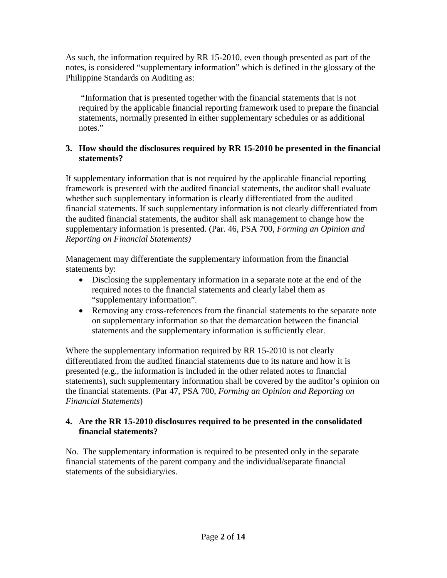As such, the information required by RR 15-2010, even though presented as part of the notes, is considered "supplementary information" which is defined in the glossary of the Philippine Standards on Auditing as:

"Information that is presented together with the financial statements that is not required by the applicable financial reporting framework used to prepare the financial statements, normally presented in either supplementary schedules or as additional notes."

## **3. How should the disclosures required by RR 15-2010 be presented in the financial statements?**

If supplementary information that is not required by the applicable financial reporting framework is presented with the audited financial statements, the auditor shall evaluate whether such supplementary information is clearly differentiated from the audited financial statements. If such supplementary information is not clearly differentiated from the audited financial statements, the auditor shall ask management to change how the supplementary information is presented. (Par. 46, PSA 700, *Forming an Opinion and Reporting on Financial Statements)*

Management may differentiate the supplementary information from the financial statements by:

- Disclosing the supplementary information in a separate note at the end of the required notes to the financial statements and clearly label them as "supplementary information".
- Removing any cross-references from the financial statements to the separate note on supplementary information so that the demarcation between the financial statements and the supplementary information is sufficiently clear.

Where the supplementary information required by RR 15-2010 is not clearly differentiated from the audited financial statements due to its nature and how it is presented (e.g., the information is included in the other related notes to financial statements), such supplementary information shall be covered by the auditor's opinion on the financial statements. (Par 47, PSA 700, *Forming an Opinion and Reporting on Financial Statements*)

# **4. Are the RR 15-2010 disclosures required to be presented in the consolidated financial statements?**

No. The supplementary information is required to be presented only in the separate financial statements of the parent company and the individual/separate financial statements of the subsidiary/ies.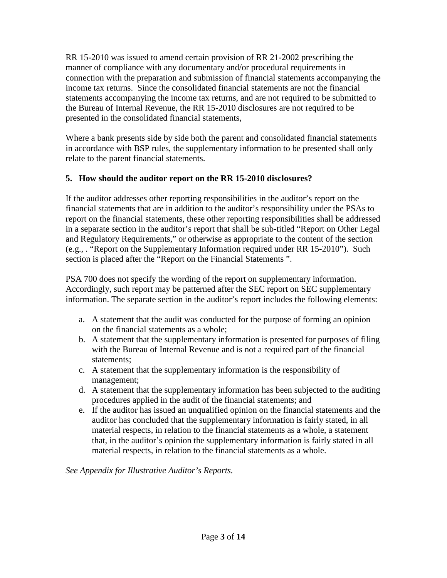RR 15-2010 was issued to amend certain provision of RR 21-2002 prescribing the manner of compliance with any documentary and/or procedural requirements in connection with the preparation and submission of financial statements accompanying the income tax returns. Since the consolidated financial statements are not the financial statements accompanying the income tax returns, and are not required to be submitted to the Bureau of Internal Revenue, the RR 15-2010 disclosures are not required to be presented in the consolidated financial statements,

Where a bank presents side by side both the parent and consolidated financial statements in accordance with BSP rules, the supplementary information to be presented shall only relate to the parent financial statements.

# **5. How should the auditor report on the RR 15-2010 disclosures?**

If the auditor addresses other reporting responsibilities in the auditor's report on the financial statements that are in addition to the auditor's responsibility under the PSAs to report on the financial statements, these other reporting responsibilities shall be addressed in a separate section in the auditor's report that shall be sub-titled "Report on Other Legal and Regulatory Requirements," or otherwise as appropriate to the content of the section (e.g., . "Report on the Supplementary Information required under RR 15-2010"). Such section is placed after the "Report on the Financial Statements ".

PSA 700 does not specify the wording of the report on supplementary information. Accordingly, such report may be patterned after the SEC report on SEC supplementary information. The separate section in the auditor's report includes the following elements:

- a. A statement that the audit was conducted for the purpose of forming an opinion on the financial statements as a whole;
- b. A statement that the supplementary information is presented for purposes of filing with the Bureau of Internal Revenue and is not a required part of the financial statements;
- c. A statement that the supplementary information is the responsibility of management;
- d. A statement that the supplementary information has been subjected to the auditing procedures applied in the audit of the financial statements; and
- e. If the auditor has issued an unqualified opinion on the financial statements and the auditor has concluded that the supplementary information is fairly stated, in all material respects, in relation to the financial statements as a whole, a statement that, in the auditor's opinion the supplementary information is fairly stated in all material respects, in relation to the financial statements as a whole.

*See Appendix for Illustrative Auditor's Reports.*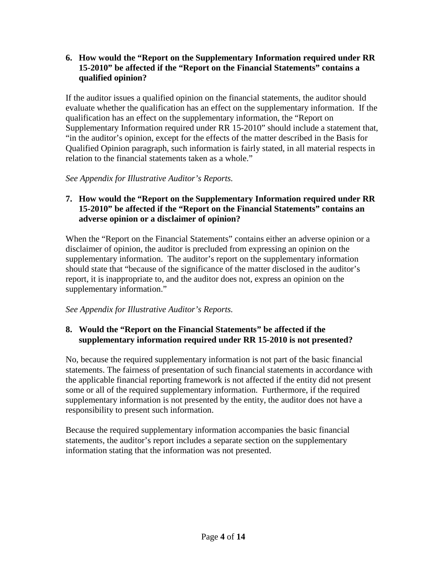**6. How would the "Report on the Supplementary Information required under RR 15-2010" be affected if the "Report on the Financial Statements" contains a qualified opinion?**

If the auditor issues a qualified opinion on the financial statements, the auditor should evaluate whether the qualification has an effect on the supplementary information. If the qualification has an effect on the supplementary information, the "Report on Supplementary Information required under RR 15-2010" should include a statement that, "in the auditor's opinion, except for the effects of the matter described in the Basis for Qualified Opinion paragraph, such information is fairly stated, in all material respects in relation to the financial statements taken as a whole."

*See Appendix for Illustrative Auditor's Reports.*

# **7. How would the "Report on the Supplementary Information required under RR 15-2010" be affected if the "Report on the Financial Statements" contains an adverse opinion or a disclaimer of opinion?**

When the "Report on the Financial Statements" contains either an adverse opinion or a disclaimer of opinion, the auditor is precluded from expressing an opinion on the supplementary information. The auditor's report on the supplementary information should state that "because of the significance of the matter disclosed in the auditor's report, it is inappropriate to, and the auditor does not, express an opinion on the supplementary information."

*See Appendix for Illustrative Auditor's Reports.*

# **8. Would the "Report on the Financial Statements" be affected if the supplementary information required under RR 15-2010 is not presented?**

No, because the required supplementary information is not part of the basic financial statements. The fairness of presentation of such financial statements in accordance with the applicable financial reporting framework is not affected if the entity did not present some or all of the required supplementary information. Furthermore, if the required supplementary information is not presented by the entity, the auditor does not have a responsibility to present such information.

Because the required supplementary information accompanies the basic financial statements, the auditor's report includes a separate section on the supplementary information stating that the information was not presented.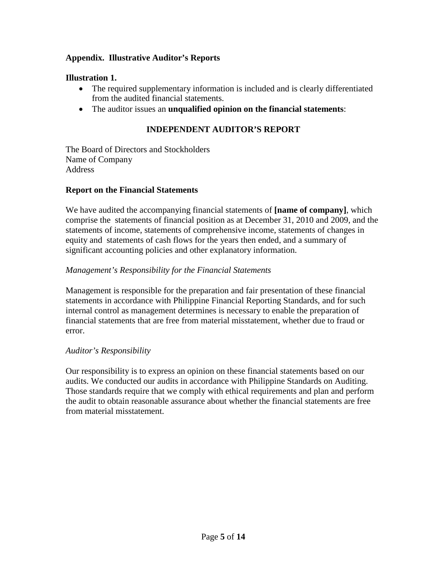## **Appendix. Illustrative Auditor's Reports**

## **Illustration 1.**

- The required supplementary information is included and is clearly differentiated from the audited financial statements.
- The auditor issues an **unqualified opinion on the financial statements**:

## **INDEPENDENT AUDITOR'S REPORT**

The Board of Directors and Stockholders Name of Company Address

## **Report on the Financial Statements**

We have audited the accompanying financial statements of **[name of company]**, which comprise the statements of financial position as at December 31, 2010 and 2009, and the statements of income, statements of comprehensive income, statements of changes in equity and statements of cash flows for the years then ended, and a summary of significant accounting policies and other explanatory information.

## *Management's Responsibility for the Financial Statements*

Management is responsible for the preparation and fair presentation of these financial statements in accordance with Philippine Financial Reporting Standards, and for such internal control as management determines is necessary to enable the preparation of financial statements that are free from material misstatement, whether due to fraud or error.

### *Auditor's Responsibility*

Our responsibility is to express an opinion on these financial statements based on our audits. We conducted our audits in accordance with Philippine Standards on Auditing. Those standards require that we comply with ethical requirements and plan and perform the audit to obtain reasonable assurance about whether the financial statements are free from material misstatement.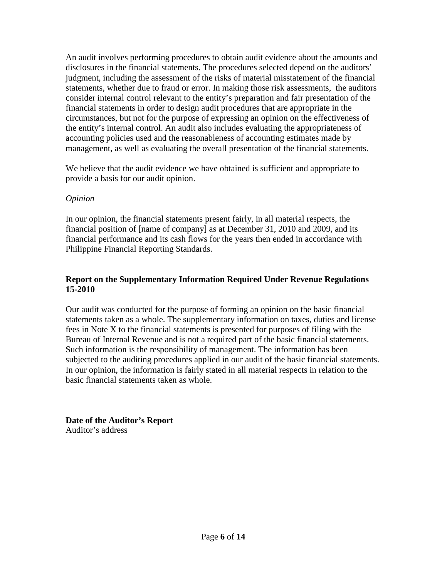An audit involves performing procedures to obtain audit evidence about the amounts and disclosures in the financial statements. The procedures selected depend on the auditors' judgment, including the assessment of the risks of material misstatement of the financial statements, whether due to fraud or error. In making those risk assessments, the auditors consider internal control relevant to the entity's preparation and fair presentation of the financial statements in order to design audit procedures that are appropriate in the circumstances, but not for the purpose of expressing an opinion on the effectiveness of the entity's internal control. An audit also includes evaluating the appropriateness of accounting policies used and the reasonableness of accounting estimates made by management, as well as evaluating the overall presentation of the financial statements.

We believe that the audit evidence we have obtained is sufficient and appropriate to provide a basis for our audit opinion.

## *Opinion*

In our opinion, the financial statements present fairly, in all material respects, the financial position of [name of company] as at December 31, 2010 and 2009, and its financial performance and its cash flows for the years then ended in accordance with Philippine Financial Reporting Standards.

## **Report on the Supplementary Information Required Under Revenue Regulations 15-2010**

Our audit was conducted for the purpose of forming an opinion on the basic financial statements taken as a whole. The supplementary information on taxes, duties and license fees in Note X to the financial statements is presented for purposes of filing with the Bureau of Internal Revenue and is not a required part of the basic financial statements. Such information is the responsibility of management. The information has been subjected to the auditing procedures applied in our audit of the basic financial statements. In our opinion, the information is fairly stated in all material respects in relation to the basic financial statements taken as whole.

**Date of the Auditor's Report** Auditor's address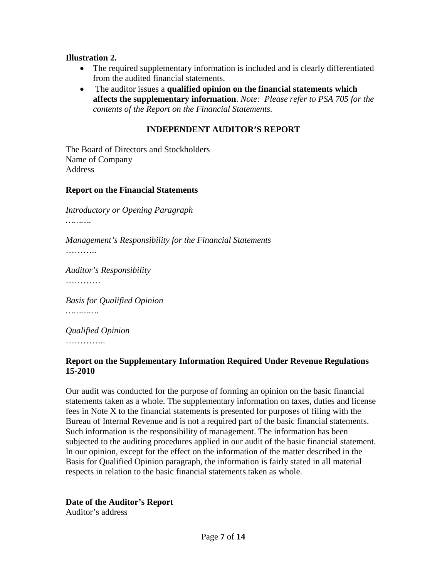#### **Illustration 2.**

- The required supplementary information is included and is clearly differentiated from the audited financial statements.
- The auditor issues a **qualified opinion on the financial statements which affects the supplementary information**. *Note: Please refer to PSA 705 for the contents of the Report on the Financial Statements.*

#### **INDEPENDENT AUDITOR'S REPORT**

The Board of Directors and Stockholders Name of Company Address

#### **Report on the Financial Statements**

*Introductory or Opening Paragraph ……….*

*Management's Responsibility for the Financial Statements*

………

*Auditor's Responsibility*

…………

*Basis for Qualified Opinion*

*………….*

*Qualified Opinion* ……………

# **Report on the Supplementary Information Required Under Revenue Regulations 15-2010**

Our audit was conducted for the purpose of forming an opinion on the basic financial statements taken as a whole. The supplementary information on taxes, duties and license fees in Note X to the financial statements is presented for purposes of filing with the Bureau of Internal Revenue and is not a required part of the basic financial statements. Such information is the responsibility of management. The information has been subjected to the auditing procedures applied in our audit of the basic financial statement. In our opinion, except for the effect on the information of the matter described in the Basis for Qualified Opinion paragraph, the information is fairly stated in all material respects in relation to the basic financial statements taken as whole.

# **Date of the Auditor's Report**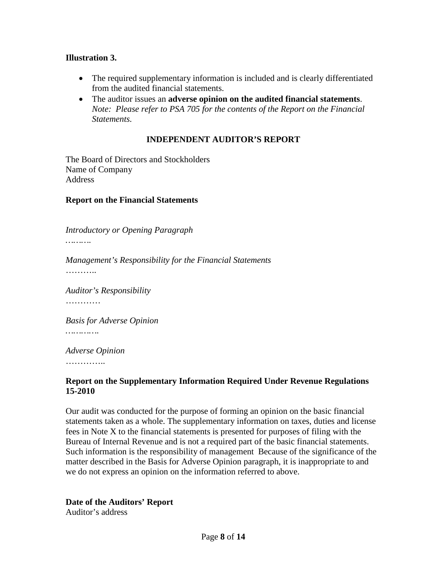### **Illustration 3.**

- The required supplementary information is included and is clearly differentiated from the audited financial statements.
- The auditor issues an **adverse opinion on the audited financial statements**. *Note: Please refer to PSA 705 for the contents of the Report on the Financial Statements.*

## **INDEPENDENT AUDITOR'S REPORT**

The Board of Directors and Stockholders Name of Company **Address** 

#### **Report on the Financial Statements**

*Introductory or Opening Paragraph*

*……….*

*Management's Responsibility for the Financial Statements* ………

*Auditor's Responsibility* …………

*Basis for Adverse Opinion ………….*

*Adverse Opinion*

…………..

#### **Report on the Supplementary Information Required Under Revenue Regulations 15-2010**

Our audit was conducted for the purpose of forming an opinion on the basic financial statements taken as a whole. The supplementary information on taxes, duties and license fees in Note X to the financial statements is presented for purposes of filing with the Bureau of Internal Revenue and is not a required part of the basic financial statements. Such information is the responsibility of management Because of the significance of the matter described in the Basis for Adverse Opinion paragraph, it is inappropriate to and we do not express an opinion on the information referred to above.

### **Date of the Auditors' Report**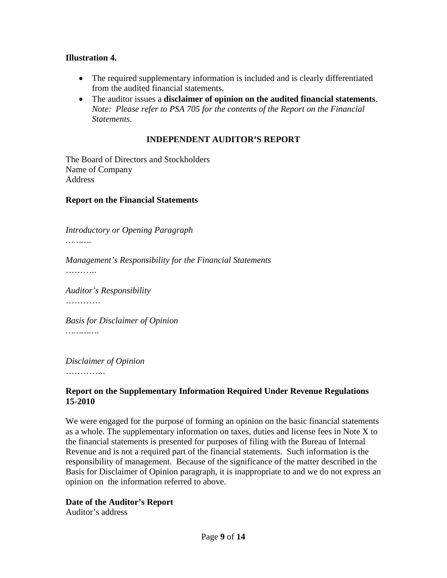### **Illustration 4.**

- The required supplementary information is included and is clearly differentiated from the audited financial statements.
- The auditor issues a **disclaimer of opinion on the audited financial statements**. *Note: Please refer to PSA 705 for the contents of the Report on the Financial Statements.*

## **INDEPENDENT AUDITOR'S REPORT**

The Board of Directors and Stockholders Name of Company **Address** 

#### **Report on the Financial Statements**

*Introductory or Opening Paragraph*

*……….*

*Management's Responsibility for the Financial Statements* ………

*Auditor's Responsibility* …………

*Basis for Disclaimer of Opinion ………….*

*Disclaimer of Opinion*

…………

### **Report on the Supplementary Information Required Under Revenue Regulations 15-2010**

We were engaged for the purpose of forming an opinion on the basic financial statements as a whole. The supplementary information on taxes, duties and license fees in Note X to the financial statements is presented for purposes of filing with the Bureau of Internal Revenue and is not a required part of the financial statements. Such information is the responsibility of management. Because of the significance of the matter described in the Basis for Disclaimer of Opinion paragraph, it is inappropriate to and we do not express an opinion on the information referred to above.

### **Date of the Auditor's Report**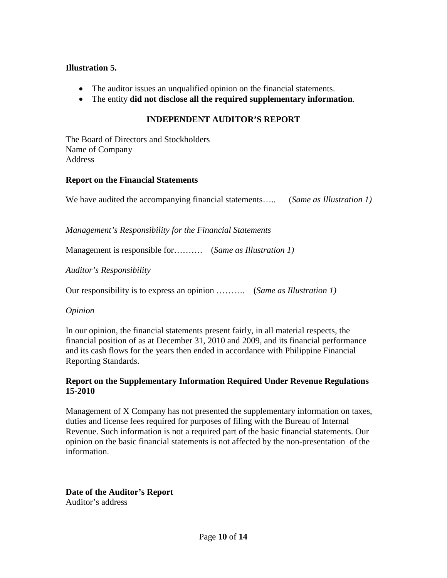### **Illustration 5.**

- The auditor issues an unqualified opinion on the financial statements.
- The entity **did not disclose all the required supplementary information**.

## **INDEPENDENT AUDITOR'S REPORT**

The Board of Directors and Stockholders Name of Company Address

#### **Report on the Financial Statements**

We have audited the accompanying financial statements….. (*Same as Illustration 1)*

*Management's Responsibility for the Financial Statements*

Management is responsible for………. (*Same as Illustration 1)*

*Auditor's Responsibility*

Our responsibility is to express an opinion ………. (*Same as Illustration 1)*

*Opinion*

In our opinion, the financial statements present fairly, in all material respects, the financial position of as at December 31, 2010 and 2009, and its financial performance and its cash flows for the years then ended in accordance with Philippine Financial Reporting Standards.

### **Report on the Supplementary Information Required Under Revenue Regulations 15-2010**

Management of X Company has not presented the supplementary information on taxes, duties and license fees required for purposes of filing with the Bureau of Internal Revenue. Such information is not a required part of the basic financial statements. Our opinion on the basic financial statements is not affected by the non-presentation of the information.

# **Date of the Auditor's Report**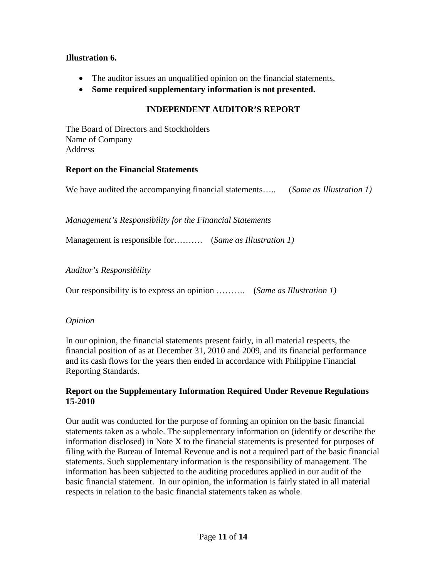## **Illustration 6.**

- The auditor issues an unqualified opinion on the financial statements.
- **Some required supplementary information is not presented.**

# **INDEPENDENT AUDITOR'S REPORT**

The Board of Directors and Stockholders Name of Company Address

## **Report on the Financial Statements**

We have audited the accompanying financial statements….. (*Same as Illustration 1)*

*Management's Responsibility for the Financial Statements*

Management is responsible for………. (*Same as Illustration 1)*

*Auditor's Responsibility*

Our responsibility is to express an opinion ………. (*Same as Illustration 1)*

# *Opinion*

In our opinion, the financial statements present fairly, in all material respects, the financial position of as at December 31, 2010 and 2009, and its financial performance and its cash flows for the years then ended in accordance with Philippine Financial Reporting Standards.

## **Report on the Supplementary Information Required Under Revenue Regulations 15-2010**

Our audit was conducted for the purpose of forming an opinion on the basic financial statements taken as a whole. The supplementary information on (identify or describe the information disclosed) in Note X to the financial statements is presented for purposes of filing with the Bureau of Internal Revenue and is not a required part of the basic financial statements. Such supplementary information is the responsibility of management. The information has been subjected to the auditing procedures applied in our audit of the basic financial statement. In our opinion, the information is fairly stated in all material respects in relation to the basic financial statements taken as whole.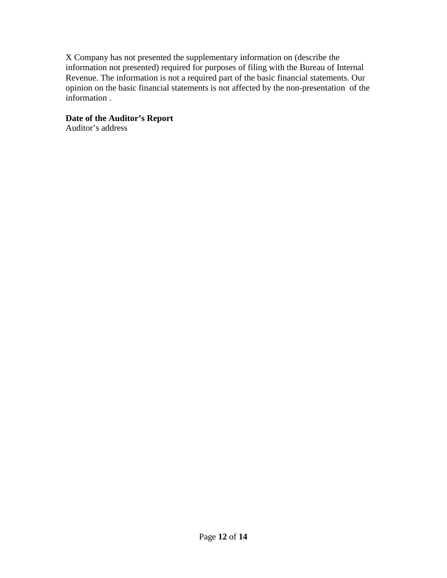X Company has not presented the supplementary information on (describe the information not presented) required for purposes of filing with the Bureau of Internal Revenue. The information is not a required part of the basic financial statements. Our opinion on the basic financial statements is not affected by the non-presentation of the information .

## **Date of the Auditor's Report**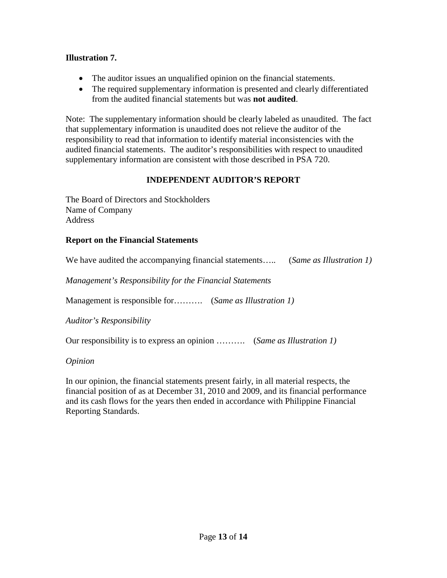## **Illustration 7.**

- The auditor issues an unqualified opinion on the financial statements.
- The required supplementary information is presented and clearly differentiated from the audited financial statements but was **not audited**.

Note: The supplementary information should be clearly labeled as unaudited. The fact that supplementary information is unaudited does not relieve the auditor of the responsibility to read that information to identify material inconsistencies with the audited financial statements. The auditor's responsibilities with respect to unaudited supplementary information are consistent with those described in PSA 720.

## **INDEPENDENT AUDITOR'S REPORT**

The Board of Directors and Stockholders Name of Company Address

### **Report on the Financial Statements**

| We have audited the accompanying financial statements | (Same as Illustration 1) |
|-------------------------------------------------------|--------------------------|
|-------------------------------------------------------|--------------------------|

*Management's Responsibility for the Financial Statements*

Management is responsible for………. (*Same as Illustration 1)*

*Auditor's Responsibility*

Our responsibility is to express an opinion ………. (*Same as Illustration 1)*

*Opinion*

In our opinion, the financial statements present fairly, in all material respects, the financial position of as at December 31, 2010 and 2009, and its financial performance and its cash flows for the years then ended in accordance with Philippine Financial Reporting Standards.